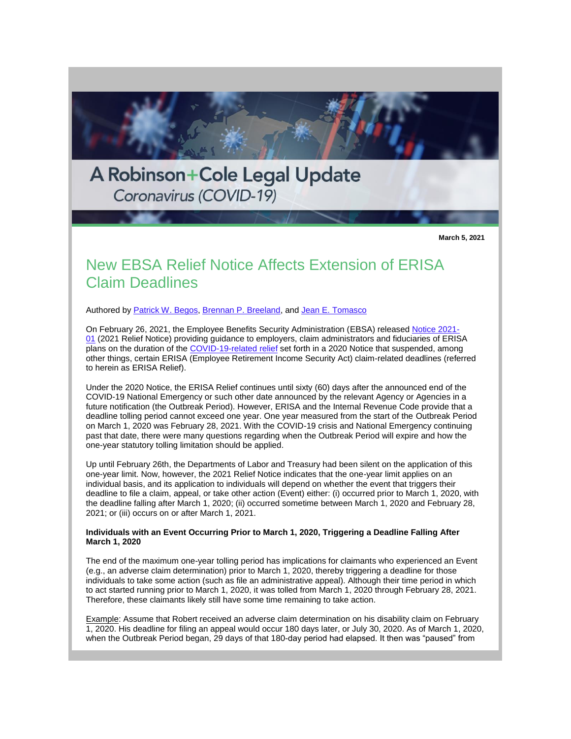

**March 5, 2021**

# New EBSA Relief Notice Affects Extension of ERISA Claim Deadlines

Authored by [Patrick W. Begos,](http://www.rc.com/people/PatrickWBegos.cfm) [Brennan P. Breeland,](http://www.rc.com/people/BrennanPBreeland.cfm) and [Jean E. Tomasco](http://www.rc.com/people/JeanETomasco.cfm)

On February 26, 2021, the Employee Benefits Security Administration (EBSA) released [Notice 2021-](https://www.dol.gov/agencies/ebsa/employers-and-advisers/plan-administration-and-compliance/disaster-relief/ebsa-disaster-relief-notice-2021-01) [01](https://www.dol.gov/agencies/ebsa/employers-and-advisers/plan-administration-and-compliance/disaster-relief/ebsa-disaster-relief-notice-2021-01) (2021 Relief Notice) providing guidance to employers, claim administrators and fiduciaries of ERISA plans on the duration of the [COVID-19-related relief](http://www.rc.com/publications/upload/BLE-Legal-Update-5-7-20.pdf) set forth in a 2020 Notice that suspended, among other things, certain ERISA (Employee Retirement Income Security Act) claim-related deadlines (referred to herein as ERISA Relief).

Under the 2020 Notice, the ERISA Relief continues until sixty (60) days after the announced end of the COVID-19 National Emergency or such other date announced by the relevant Agency or Agencies in a future notification (the Outbreak Period). However, ERISA and the Internal Revenue Code provide that a deadline tolling period cannot exceed one year. One year measured from the start of the Outbreak Period on March 1, 2020 was February 28, 2021. With the COVID-19 crisis and National Emergency continuing past that date, there were many questions regarding when the Outbreak Period will expire and how the one-year statutory tolling limitation should be applied.

Up until February 26th, the Departments of Labor and Treasury had been silent on the application of this one-year limit. Now, however, the 2021 Relief Notice indicates that the one-year limit applies on an individual basis, and its application to individuals will depend on whether the event that triggers their deadline to file a claim, appeal, or take other action (Event) either: (i) occurred prior to March 1, 2020, with the deadline falling after March 1, 2020; (ii) occurred sometime between March 1, 2020 and February 28, 2021; or (iii) occurs on or after March 1, 2021.

## **Individuals with an Event Occurring Prior to March 1, 2020, Triggering a Deadline Falling After March 1, 2020**

The end of the maximum one-year tolling period has implications for claimants who experienced an Event (e.g., an adverse claim determination) prior to March 1, 2020, thereby triggering a deadline for those individuals to take some action (such as file an administrative appeal). Although their time period in which to act started running prior to March 1, 2020, it was tolled from March 1, 2020 through February 28, 2021. Therefore, these claimants likely still have some time remaining to take action.

Example: Assume that Robert received an adverse claim determination on his disability claim on February 1, 2020. His deadline for filing an appeal would occur 180 days later, or July 30, 2020. As of March 1, 2020, when the Outbreak Period began, 29 days of that 180-day period had elapsed. It then was "paused" from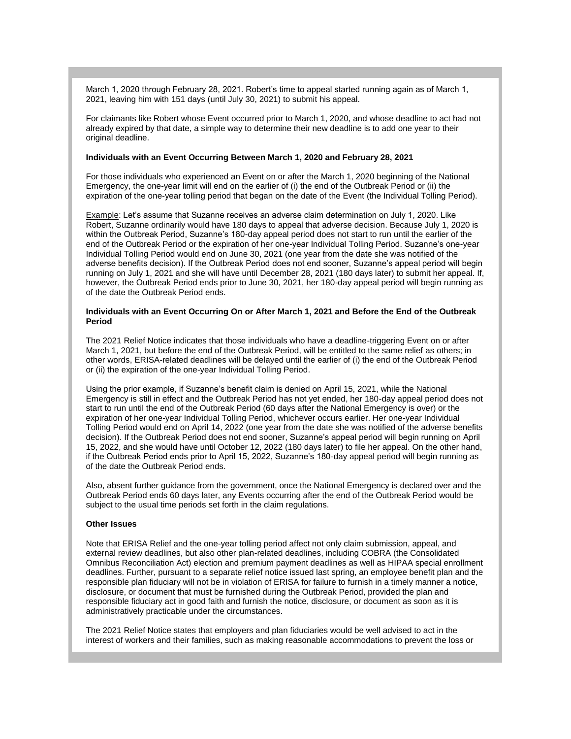March 1, 2020 through February 28, 2021. Robert's time to appeal started running again as of March 1, 2021, leaving him with 151 days (until July 30, 2021) to submit his appeal.

For claimants like Robert whose Event occurred prior to March 1, 2020, and whose deadline to act had not already expired by that date, a simple way to determine their new deadline is to add one year to their original deadline.

#### **Individuals with an Event Occurring Between March 1, 2020 and February 28, 2021**

For those individuals who experienced an Event on or after the March 1, 2020 beginning of the National Emergency, the one-year limit will end on the earlier of (i) the end of the Outbreak Period or (ii) the expiration of the one-year tolling period that began on the date of the Event (the Individual Tolling Period).

Example: Let's assume that Suzanne receives an adverse claim determination on July 1, 2020. Like Robert, Suzanne ordinarily would have 180 days to appeal that adverse decision. Because July 1, 2020 is within the Outbreak Period, Suzanne's 180-day appeal period does not start to run until the earlier of the end of the Outbreak Period or the expiration of her one-year Individual Tolling Period. Suzanne's one-year Individual Tolling Period would end on June 30, 2021 (one year from the date she was notified of the adverse benefits decision). If the Outbreak Period does not end sooner, Suzanne's appeal period will begin running on July 1, 2021 and she will have until December 28, 2021 (180 days later) to submit her appeal. If, however, the Outbreak Period ends prior to June 30, 2021, her 180-day appeal period will begin running as of the date the Outbreak Period ends.

## **Individuals with an Event Occurring On or After March 1, 2021 and Before the End of the Outbreak Period**

The 2021 Relief Notice indicates that those individuals who have a deadline-triggering Event on or after March 1, 2021, but before the end of the Outbreak Period, will be entitled to the same relief as others; in other words, ERISA-related deadlines will be delayed until the earlier of (i) the end of the Outbreak Period or (ii) the expiration of the one-year Individual Tolling Period.

Using the prior example, if Suzanne's benefit claim is denied on April 15, 2021, while the National Emergency is still in effect and the Outbreak Period has not yet ended, her 180-day appeal period does not start to run until the end of the Outbreak Period (60 days after the National Emergency is over) or the expiration of her one-year Individual Tolling Period, whichever occurs earlier. Her one-year Individual Tolling Period would end on April 14, 2022 (one year from the date she was notified of the adverse benefits decision). If the Outbreak Period does not end sooner, Suzanne's appeal period will begin running on April 15, 2022, and she would have until October 12, 2022 (180 days later) to file her appeal. On the other hand, if the Outbreak Period ends prior to April 15, 2022, Suzanne's 180-day appeal period will begin running as of the date the Outbreak Period ends.

Also, absent further guidance from the government, once the National Emergency is declared over and the Outbreak Period ends 60 days later, any Events occurring after the end of the Outbreak Period would be subject to the usual time periods set forth in the claim regulations.

## **Other Issues**

Note that ERISA Relief and the one-year tolling period affect not only claim submission, appeal, and external review deadlines, but also other plan-related deadlines, including COBRA (the Consolidated Omnibus Reconciliation Act) election and premium payment deadlines as well as HIPAA special enrollment deadlines. Further, pursuant to a separate relief notice issued last spring, an employee benefit plan and the responsible plan fiduciary will not be in violation of ERISA for failure to furnish in a timely manner a notice, disclosure, or document that must be furnished during the Outbreak Period, provided the plan and responsible fiduciary act in good faith and furnish the notice, disclosure, or document as soon as it is administratively practicable under the circumstances.

The 2021 Relief Notice states that employers and plan fiduciaries would be well advised to act in the interest of workers and their families, such as making reasonable accommodations to prevent the loss or